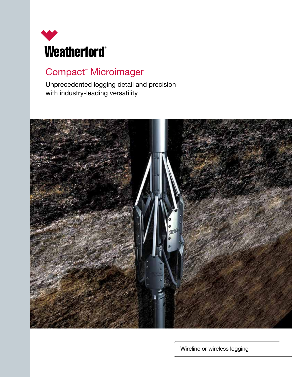

## Compact<sup>®</sup> Microimager

Unprecedented logging detail and precision with industry-leading versatility



Wireline or wireless logging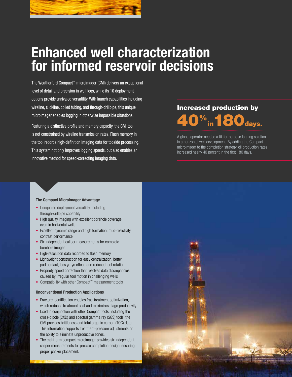

# **Enhanced well characterization for informed reservoir decisions**

The Weatherford Compact™ microimager (CMI) delivers an exceptional level of detail and precision in well logs, while its 10 deployment options provide unrivaled versatility. With launch capabilities including wireline, slickline, coiled tubing, and through-drillpipe, this unique microimager enables logging in otherwise impossible situations.

Featuring a distinctive profile and memory capacity, the CMI tool is not constrained by wireline transmission rates. Flash memory in the tool records high-definition imaging data for topside processing. This system not only improves logging speeds, but also enables an innovative method for speed-correcting imaging data.

# Increased production by 40% in180days.

A global operator needed a fit-for-purpose logging solution in a horizontal well development. By adding the Compact microimager to the completion strategy, oil production rates increased nearly 40 percent in the first 180 days.

#### **The Compact Microimager Advantage**

- Unequaled deployment versatility, including through-drillpipe capability
- High quality imaging with excellent borehole coverage, even in horizontal wells
- Excellent dynamic range and high formation, mud-resistivity contrast performance
- Six independent caliper measurements for complete borehole images
- High-resolution data recorded to flash memory
- Lightweight construction for easy centralization, better pad contact, less yo-yo effect, and reduced tool rotation
- Propriety speed correction that resolves data discrepancies caused by irregular tool motion in challenging wells
- Compatibility with other Compact™ measurement tools

#### **Unconventional Production Applications**

- Fracture identification enables frac-treatment optimization, which reduces treatment cost and maximizes stage productivity.
- Used in conjunction with other Compact tools, including the cross-dipole (CXD) and spectral gamma ray (SGS) tools, the CMI provides brittleness and total organic carbon (TOC) data. This information supports treatment-pressure adjustments or the ability to eliminate unproductive zones.
- The eight-arm compact microimager provides six independent caliper measurements for precise completion design, ensuring proper packer placement.

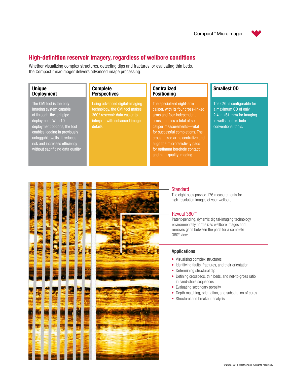

### **High-definition reservoir imagery, regardless of wellbore conditions**

Whether visualizing complex structures, detecting dips and fractures, or evaluating thin beds, the Compact microimager delivers advanced image processing.

#### **Unique Deployment**

The CMI tool is the only imaging system capable of through-the-drillpipe deployment. With 10 deployment options, the tool enables logging in previously unloggable wells. It reduces risk and increases efficiency without sacrificing data quality.

#### **Complete Perspectives**

Using advanced digital-imaging technology, the CMI tool makes 360° reservoir data easier to interpret with enhanced image

#### **Centralized Positioning**

The specialized eight-arm caliper, with its four cross-linked arms and four independent arms, enables a total of six caliper measurements—vital for successful completions. The cross-linked arms centralize and align the microresistivity pads for optimum borehole contact and high-quality imaging.

### **Smallest OD**

The CMI is configurable for a maximum OD of only 2.4 in. (61 mm) for imaging in wells that exclude conventional tools.



#### **Standard**

The eight pads provide 176 measurements for high-resolution images of your wellbore.

#### Reveal 360™

Patent-pending, dynamic digital-imaging technology environmentally normalizes wellbore images and removes gaps between the pads for a complete 360° view.

#### **Applications**

- Visualizing complex structures
- Identifying faults, fractures, and their orientation
- Determining structural dip
- Defining crossbeds, thin beds, and net-to-gross ratio in sand-shale sequences
- Evaluating secondary porosity
- Depth matching, orientation, and substitution of cores
- Structural and breakout analysis